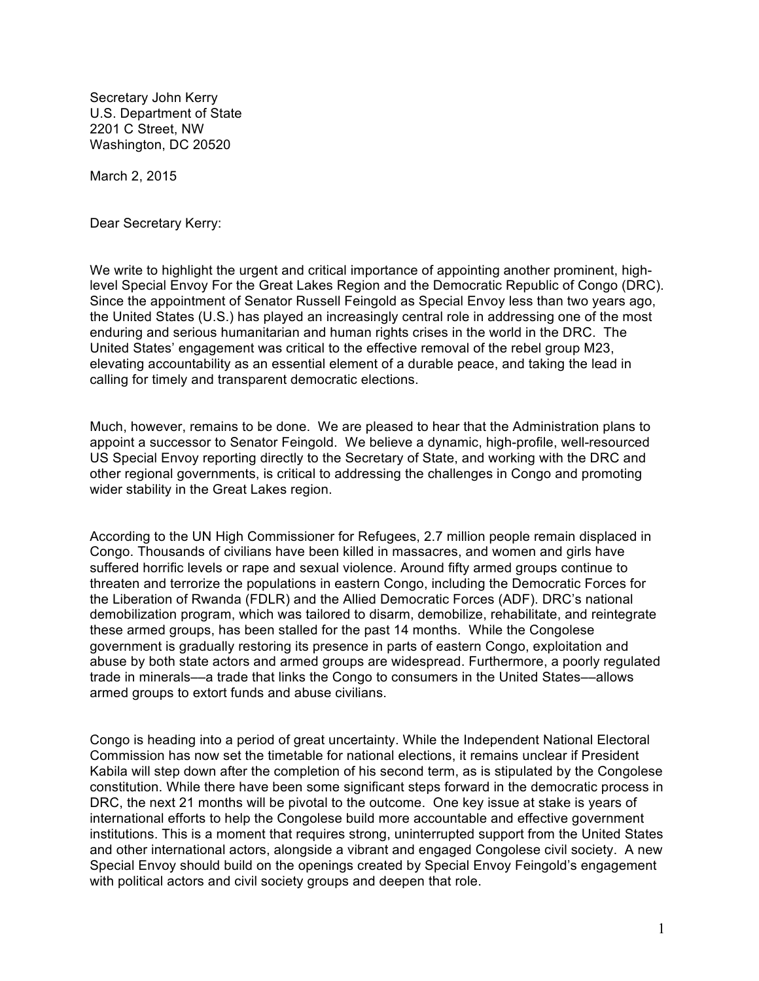Secretary John Kerry U.S. Department of State 2201 C Street, NW Washington, DC 20520

March 2, 2015

Dear Secretary Kerry:

We write to highlight the urgent and critical importance of appointing another prominent, highlevel Special Envoy For the Great Lakes Region and the Democratic Republic of Congo (DRC). Since the appointment of Senator Russell Feingold as Special Envoy less than two years ago, the United States (U.S.) has played an increasingly central role in addressing one of the most enduring and serious humanitarian and human rights crises in the world in the DRC. The United States' engagement was critical to the effective removal of the rebel group M23, elevating accountability as an essential element of a durable peace, and taking the lead in calling for timely and transparent democratic elections.

Much, however, remains to be done. We are pleased to hear that the Administration plans to appoint a successor to Senator Feingold. We believe a dynamic, high-profile, well-resourced US Special Envoy reporting directly to the Secretary of State, and working with the DRC and other regional governments, is critical to addressing the challenges in Congo and promoting wider stability in the Great Lakes region.

According to the UN High Commissioner for Refugees, 2.7 million people remain displaced in Congo. Thousands of civilians have been killed in massacres, and women and girls have suffered horrific levels or rape and sexual violence. Around fifty armed groups continue to threaten and terrorize the populations in eastern Congo, including the Democratic Forces for the Liberation of Rwanda (FDLR) and the Allied Democratic Forces (ADF). DRC's national demobilization program, which was tailored to disarm, demobilize, rehabilitate, and reintegrate these armed groups, has been stalled for the past 14 months. While the Congolese government is gradually restoring its presence in parts of eastern Congo, exploitation and abuse by both state actors and armed groups are widespread. Furthermore, a poorly regulated trade in minerals––a trade that links the Congo to consumers in the United States––allows armed groups to extort funds and abuse civilians.

Congo is heading into a period of great uncertainty. While the Independent National Electoral Commission has now set the timetable for national elections, it remains unclear if President Kabila will step down after the completion of his second term, as is stipulated by the Congolese constitution. While there have been some significant steps forward in the democratic process in DRC, the next 21 months will be pivotal to the outcome. One key issue at stake is years of international efforts to help the Congolese build more accountable and effective government institutions. This is a moment that requires strong, uninterrupted support from the United States and other international actors, alongside a vibrant and engaged Congolese civil society. A new Special Envoy should build on the openings created by Special Envoy Feingold's engagement with political actors and civil society groups and deepen that role.